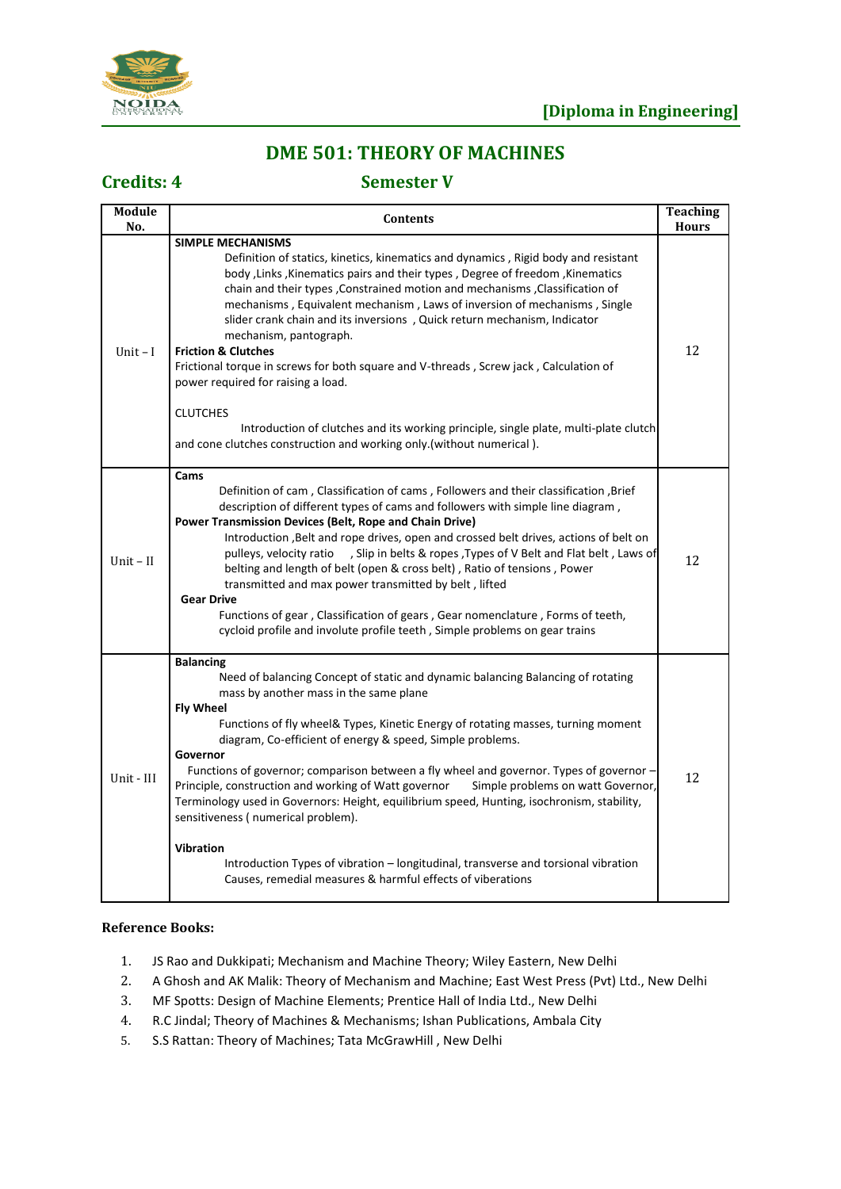

# **DME 501: THEORY OF MACHINES**

**Credits: 4 Semester V**

| Module<br>No. | <b>Contents</b>                                                                                                                                                                                                                                                                                                                                                                                                                                                                                                                                                                                                                                                                                                                                                                                                                    | Teaching<br><b>Hours</b> |
|---------------|------------------------------------------------------------------------------------------------------------------------------------------------------------------------------------------------------------------------------------------------------------------------------------------------------------------------------------------------------------------------------------------------------------------------------------------------------------------------------------------------------------------------------------------------------------------------------------------------------------------------------------------------------------------------------------------------------------------------------------------------------------------------------------------------------------------------------------|--------------------------|
| Unit $-I$     | <b>SIMPLE MECHANISMS</b><br>Definition of statics, kinetics, kinematics and dynamics, Rigid body and resistant<br>body , Links , Kinematics pairs and their types, Degree of freedom, Kinematics<br>chain and their types, Constrained motion and mechanisms, Classification of<br>mechanisms, Equivalent mechanism, Laws of inversion of mechanisms, Single<br>slider crank chain and its inversions, Quick return mechanism, Indicator<br>mechanism, pantograph.<br><b>Friction &amp; Clutches</b><br>Frictional torque in screws for both square and V-threads, Screw jack, Calculation of<br>power required for raising a load.<br><b>CLUTCHES</b><br>Introduction of clutches and its working principle, single plate, multi-plate clutch<br>and cone clutches construction and working only (without numerical).             | 12                       |
| Unit $-$ II   | Cams<br>Definition of cam, Classification of cams, Followers and their classification, Brief<br>description of different types of cams and followers with simple line diagram,<br>Power Transmission Devices (Belt, Rope and Chain Drive)<br>Introduction , Belt and rope drives, open and crossed belt drives, actions of belt on<br>pulleys, velocity ratio , Slip in belts & ropes, Types of V Belt and Flat belt, Laws of<br>belting and length of belt (open & cross belt), Ratio of tensions, Power<br>transmitted and max power transmitted by belt, lifted<br><b>Gear Drive</b><br>Functions of gear, Classification of gears, Gear nomenclature, Forms of teeth,<br>cycloid profile and involute profile teeth, Simple problems on gear trains                                                                            | 12                       |
| Unit - III    | <b>Balancing</b><br>Need of balancing Concept of static and dynamic balancing Balancing of rotating<br>mass by another mass in the same plane<br><b>Fly Wheel</b><br>Functions of fly wheel& Types, Kinetic Energy of rotating masses, turning moment<br>diagram, Co-efficient of energy & speed, Simple problems.<br>Governor<br>Functions of governor; comparison between a fly wheel and governor. Types of governor -<br>Simple problems on watt Governor,<br>Principle, construction and working of Watt governor<br>Terminology used in Governors: Height, equilibrium speed, Hunting, isochronism, stability,<br>sensitiveness (numerical problem).<br><b>Vibration</b><br>Introduction Types of vibration – longitudinal, transverse and torsional vibration<br>Causes, remedial measures & harmful effects of viberations | 12                       |

- 1. JS Rao and Dukkipati; Mechanism and Machine Theory; Wiley Eastern, New Delhi
- 2. A Ghosh and AK Malik: Theory of Mechanism and Machine; East West Press (Pvt) Ltd., New Delhi
- 3. MF Spotts: Design of Machine Elements; Prentice Hall of India Ltd., New Delhi
- 4. R.C Jindal; Theory of Machines & Mechanisms; Ishan Publications, Ambala City
- 5. S.S Rattan: Theory of Machines; Tata McGrawHill , New Delhi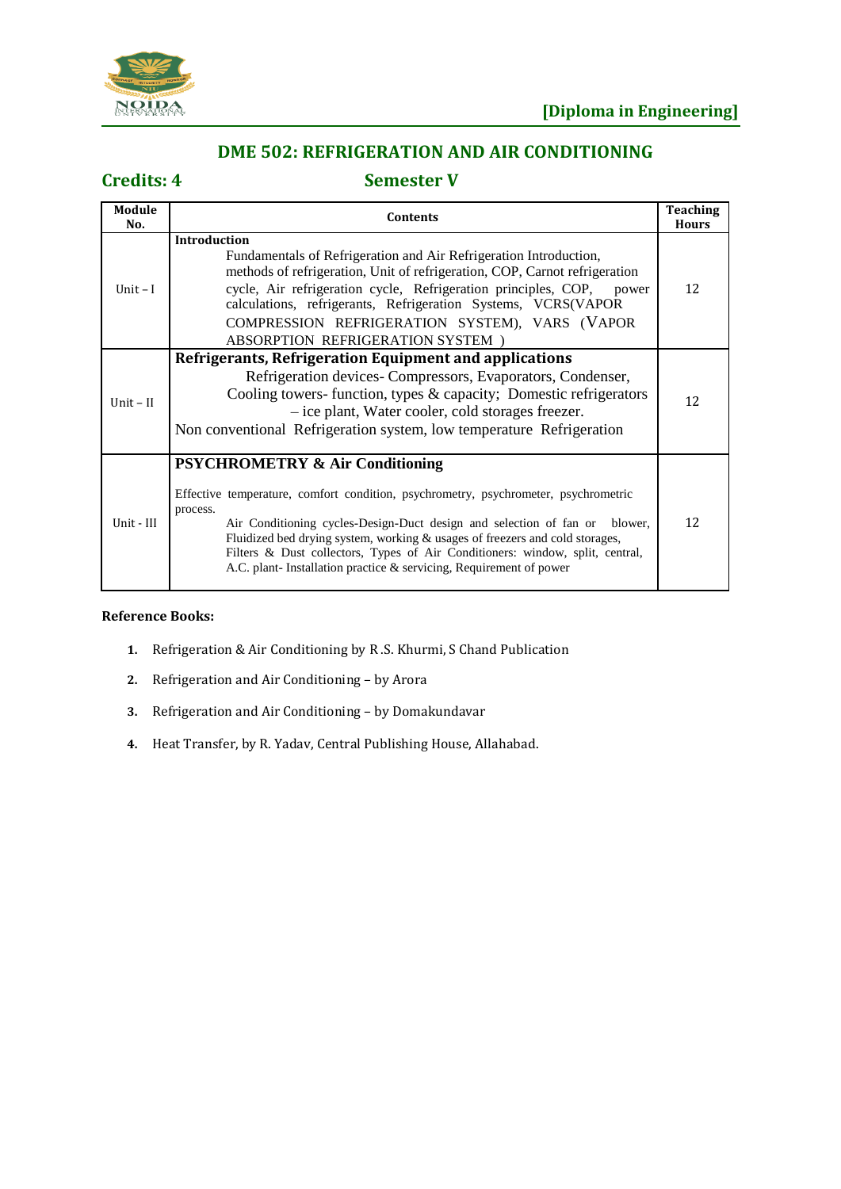

## **DME 502: REFRIGERATION AND AIR CONDITIONING**

**Credits: 4 Semester V**

| Module<br>No. | Contents                                                                                                                                                                                                                                                                                                                                                                                                                                                              | <b>Teaching</b><br><b>Hours</b> |
|---------------|-----------------------------------------------------------------------------------------------------------------------------------------------------------------------------------------------------------------------------------------------------------------------------------------------------------------------------------------------------------------------------------------------------------------------------------------------------------------------|---------------------------------|
| Unit $-I$     | <b>Introduction</b><br>Fundamentals of Refrigeration and Air Refrigeration Introduction,<br>methods of refrigeration, Unit of refrigeration, COP, Carnot refrigeration<br>cycle, Air refrigeration cycle, Refrigeration principles, COP, power<br>calculations, refrigerants, Refrigeration Systems, VCRS(VAPOR<br>COMPRESSION REFRIGERATION SYSTEM), VARS (VAPOR<br><b>ABSORPTION REFRIGERATION SYSTEM</b>                                                           | 12                              |
| Unit $-II$    | Refrigerants, Refrigeration Equipment and applications<br>Refrigeration devices- Compressors, Evaporators, Condenser,<br>Cooling towers-function, types & capacity; Domestic refrigerators<br>- ice plant, Water cooler, cold storages freezer.<br>Non conventional Refrigeration system, low temperature Refrigeration                                                                                                                                               | 12                              |
| Unit - III    | <b>PSYCHROMETRY &amp; Air Conditioning</b><br>Effective temperature, comfort condition, psychrometry, psychrometer, psychrometric<br>process.<br>Air Conditioning cycles-Design-Duct design and selection of fan or blower,<br>Fluidized bed drying system, working & usages of freezers and cold storages,<br>Filters & Dust collectors, Types of Air Conditioners: window, split, central,<br>A.C. plant-Installation practice $\&$ servicing, Requirement of power | 12                              |

- **1.** Refrigeration & Air Conditioning by R .S. Khurmi, S Chand Publication
- **2.** Refrigeration and Air Conditioning by Arora
- **3.** Refrigeration and Air Conditioning by Domakundavar
- **4.** Heat Transfer, by R. Yadav, Central Publishing House, Allahabad.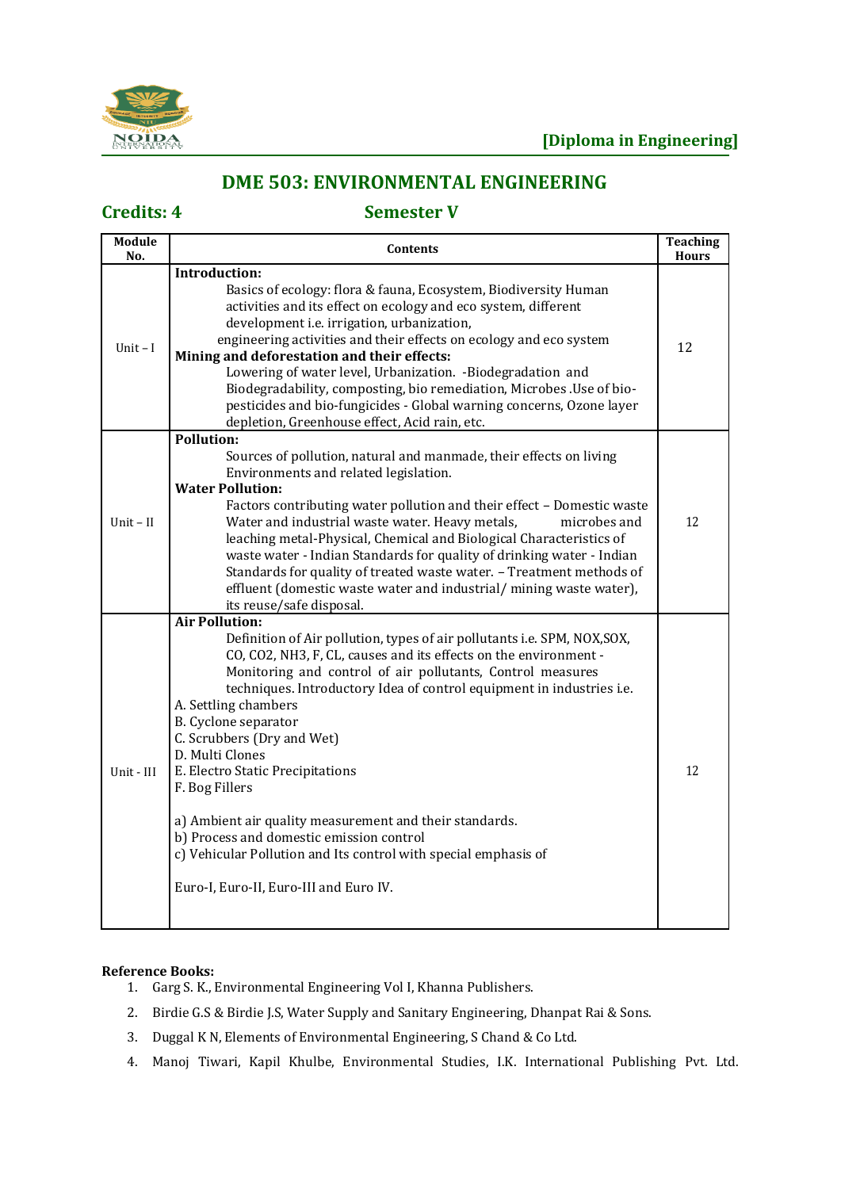

# **DME 503: ENVIRONMENTAL ENGINEERING**

## **Credits: 4 Semester V**

| <b>Module</b><br>No. | <b>Contents</b>                                                                                                                                                                                                                                                                                                                                                                                                                                                                                                                                                                                                                                                                         | <b>Teaching</b><br><b>Hours</b> |
|----------------------|-----------------------------------------------------------------------------------------------------------------------------------------------------------------------------------------------------------------------------------------------------------------------------------------------------------------------------------------------------------------------------------------------------------------------------------------------------------------------------------------------------------------------------------------------------------------------------------------------------------------------------------------------------------------------------------------|---------------------------------|
| Unit $-I$            | <b>Introduction:</b><br>Basics of ecology: flora & fauna, Ecosystem, Biodiversity Human<br>activities and its effect on ecology and eco system, different<br>development i.e. irrigation, urbanization,<br>engineering activities and their effects on ecology and eco system                                                                                                                                                                                                                                                                                                                                                                                                           |                                 |
|                      | Mining and deforestation and their effects:<br>Lowering of water level, Urbanization. -Biodegradation and<br>Biodegradability, composting, bio remediation, Microbes . Use of bio-<br>pesticides and bio-fungicides - Global warning concerns, Ozone layer<br>depletion, Greenhouse effect, Acid rain, etc.                                                                                                                                                                                                                                                                                                                                                                             | 12                              |
| Unit $-$ II          | Pollution:<br>Sources of pollution, natural and manmade, their effects on living<br>Environments and related legislation.<br><b>Water Pollution:</b><br>Factors contributing water pollution and their effect - Domestic waste<br>Water and industrial waste water. Heavy metals,<br>microbes and<br>leaching metal-Physical, Chemical and Biological Characteristics of<br>waste water - Indian Standards for quality of drinking water - Indian<br>Standards for quality of treated waste water. - Treatment methods of<br>effluent (domestic waste water and industrial/mining waste water),<br>its reuse/safe disposal.                                                             | 12                              |
| Unit - III           | <b>Air Pollution:</b><br>Definition of Air pollution, types of air pollutants i.e. SPM, NOX, SOX,<br>CO, CO2, NH3, F, CL, causes and its effects on the environment -<br>Monitoring and control of air pollutants, Control measures<br>techniques. Introductory Idea of control equipment in industries i.e.<br>A. Settling chambers<br>B. Cyclone separator<br>C. Scrubbers (Dry and Wet)<br>D. Multi Clones<br>E. Electro Static Precipitations<br>F. Bog Fillers<br>a) Ambient air quality measurement and their standards.<br>b) Process and domestic emission control<br>c) Vehicular Pollution and Its control with special emphasis of<br>Euro-I, Euro-II, Euro-III and Euro IV. | 12                              |

- 1. Garg S. K., Environmental Engineering Vol I, Khanna Publishers.
- 2. Birdie G.S & Birdie J.S, Water Supply and Sanitary Engineering, Dhanpat Rai & Sons.
- 3. Duggal K N, Elements of Environmental Engineering, S Chand & Co Ltd.
- 4. Manoj Tiwari, Kapil Khulbe, Environmental Studies, I.K. International Publishing Pvt. Ltd.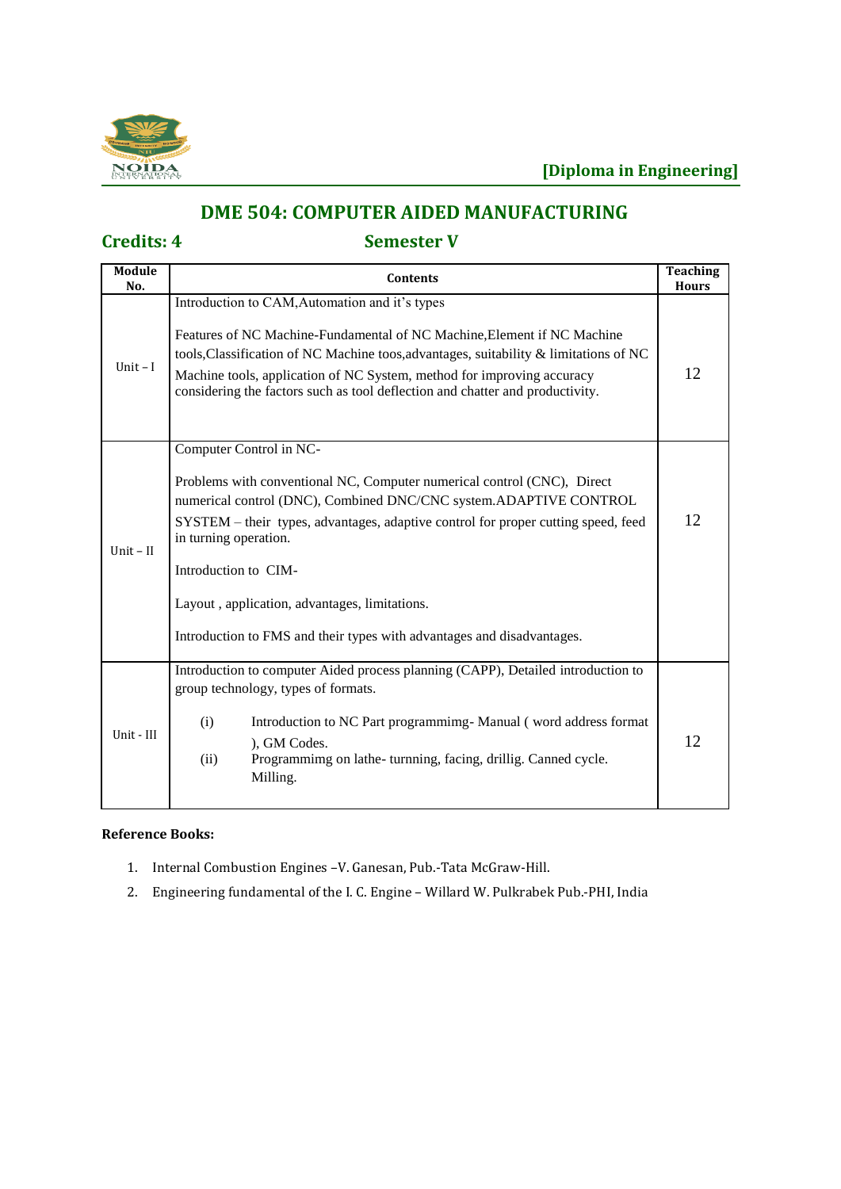

# **DME 504: COMPUTER AIDED MANUFACTURING**

# **Credits: 4 Semester V**

| <b>Module</b><br>No. | <b>Contents</b>                                                                                                                                                                                                                                                                                                                                                                                                                          | <b>Teaching</b><br><b>Hours</b> |
|----------------------|------------------------------------------------------------------------------------------------------------------------------------------------------------------------------------------------------------------------------------------------------------------------------------------------------------------------------------------------------------------------------------------------------------------------------------------|---------------------------------|
| Unit $-I$            | Introduction to CAM, Automation and it's types<br>Features of NC Machine-Fundamental of NC Machine, Element if NC Machine<br>tools, Classification of NC Machine toos, advantages, suitability & limitations of NC<br>Machine tools, application of NC System, method for improving accuracy<br>considering the factors such as tool deflection and chatter and productivity.                                                            | 12                              |
| $Unit - II$          | Computer Control in NC-<br>Problems with conventional NC, Computer numerical control (CNC), Direct<br>numerical control (DNC), Combined DNC/CNC system.ADAPTIVE CONTROL<br>SYSTEM – their types, advantages, adaptive control for proper cutting speed, feed<br>in turning operation.<br>Introduction to CIM-<br>Layout, application, advantages, limitations.<br>Introduction to FMS and their types with advantages and disadvantages. | 12                              |
| Unit - III           | Introduction to computer Aided process planning (CAPP), Detailed introduction to<br>group technology, types of formats.<br>(i)<br>Introduction to NC Part programmimg-Manual (word address format<br>), GM Codes.<br>Programmimg on lathe-turnning, facing, drillig. Canned cycle.<br>(ii)<br>Milling.                                                                                                                                   | 12                              |

- 1. Internal Combustion Engines –V. Ganesan, Pub.-Tata McGraw-Hill.
- 2. Engineering fundamental of the I. C. Engine Willard W. Pulkrabek Pub.-PHI, India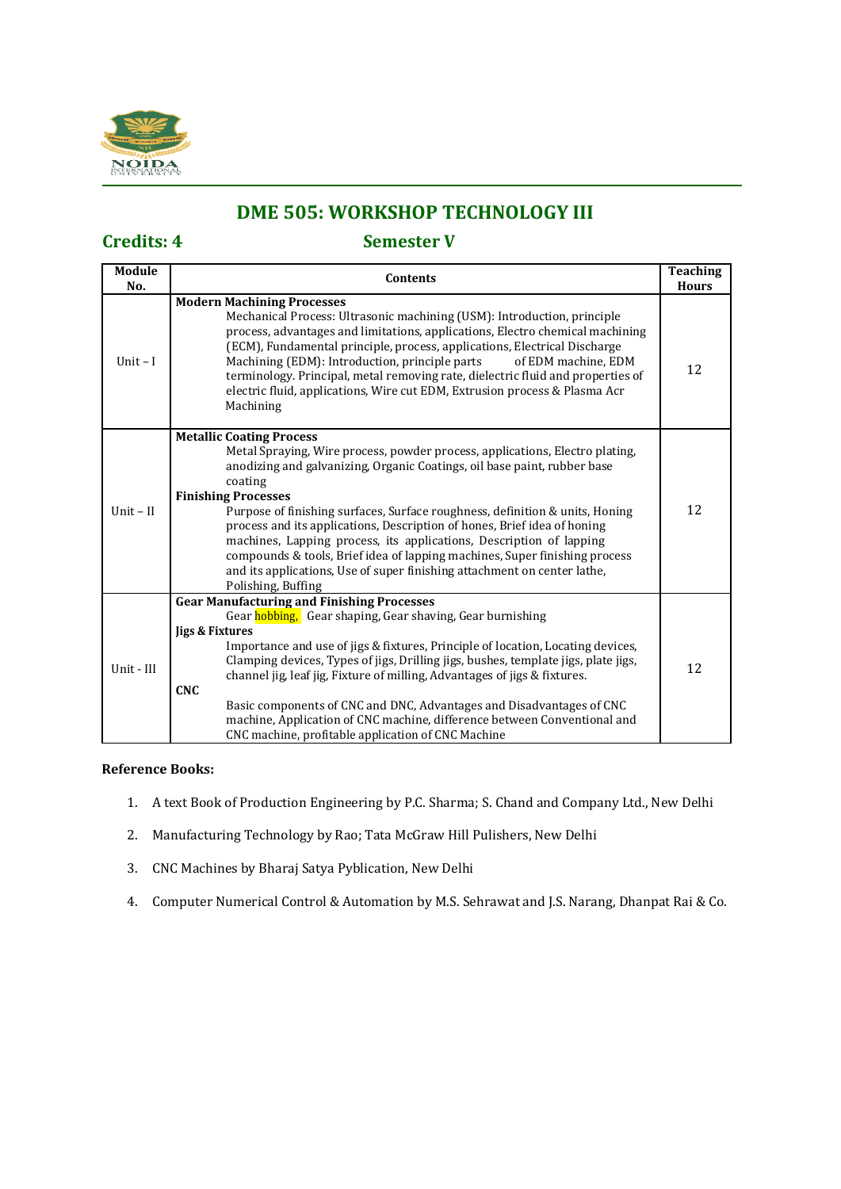

# **DME 505: WORKSHOP TECHNOLOGY III**

# **Credits: 4 Semester V**

| <b>Module</b><br>No. | <b>Contents</b>                                                                                                                                                                                                                                                                                                                                                                                                                                                                                                                                                                                                                                         | <b>Teaching</b><br><b>Hours</b> |
|----------------------|---------------------------------------------------------------------------------------------------------------------------------------------------------------------------------------------------------------------------------------------------------------------------------------------------------------------------------------------------------------------------------------------------------------------------------------------------------------------------------------------------------------------------------------------------------------------------------------------------------------------------------------------------------|---------------------------------|
| Unit $-I$            | <b>Modern Machining Processes</b><br>Mechanical Process: Ultrasonic machining (USM): Introduction, principle<br>process, advantages and limitations, applications, Electro chemical machining<br>(ECM), Fundamental principle, process, applications, Electrical Discharge<br>Machining (EDM): Introduction, principle parts<br>of EDM machine, EDM<br>terminology. Principal, metal removing rate, dielectric fluid and properties of<br>electric fluid, applications, Wire cut EDM, Extrusion process & Plasma Acr<br>Machining                                                                                                                       | 12                              |
| $Unit - II$          | <b>Metallic Coating Process</b><br>Metal Spraying, Wire process, powder process, applications, Electro plating,<br>anodizing and galvanizing, Organic Coatings, oil base paint, rubber base<br>coating<br><b>Finishing Processes</b><br>Purpose of finishing surfaces, Surface roughness, definition & units, Honing<br>process and its applications, Description of hones, Brief idea of honing<br>machines, Lapping process, its applications, Description of lapping<br>compounds & tools, Brief idea of lapping machines, Super finishing process<br>and its applications, Use of super finishing attachment on center lathe,<br>Polishing, Buffing | 12                              |
| Unit - III           | <b>Gear Manufacturing and Finishing Processes</b><br>Gear hobbing, Gear shaping, Gear shaving, Gear burnishing<br>ligs & Fixtures<br>Importance and use of jigs & fixtures, Principle of location, Locating devices,<br>Clamping devices, Types of jigs, Drilling jigs, bushes, template jigs, plate jigs,<br>channel jig, leaf jig, Fixture of milling, Advantages of jigs & fixtures.<br><b>CNC</b><br>Basic components of CNC and DNC, Advantages and Disadvantages of CNC<br>machine, Application of CNC machine, difference between Conventional and<br>CNC machine, profitable application of CNC Machine                                         | 12                              |

- 1. A text Book of Production Engineering by P.C. Sharma; S. Chand and Company Ltd., New Delhi
- 2. Manufacturing Technology by Rao; Tata McGraw Hill Pulishers, New Delhi
- 3. CNC Machines by Bharaj Satya Pyblication, New Delhi
- 4. Computer Numerical Control & Automation by M.S. Sehrawat and J.S. Narang, Dhanpat Rai & Co.